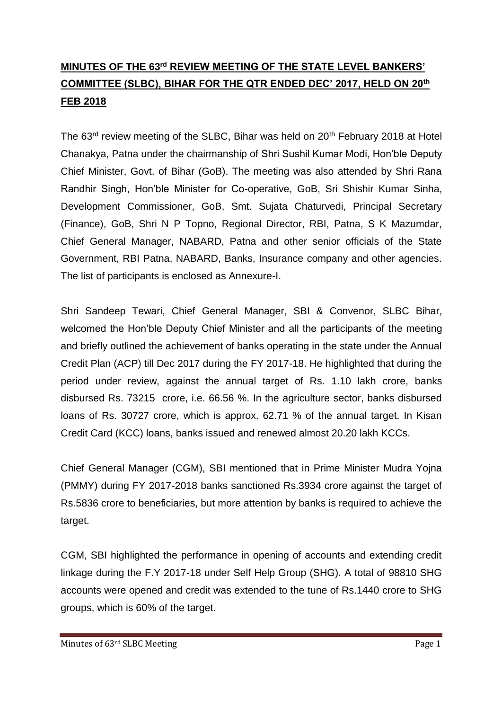# **MINUTES OF THE 63rd REVIEW MEETING OF THE STATE LEVEL BANKERS' COMMITTEE (SLBC), BIHAR FOR THE QTR ENDED DEC' 2017, HELD ON 20th FEB 2018**

The 63<sup>rd</sup> review meeting of the SLBC. Bihar was held on 20<sup>th</sup> February 2018 at Hotel Chanakya, Patna under the chairmanship of Shri Sushil Kumar Modi, Hon'ble Deputy Chief Minister, Govt. of Bihar (GoB). The meeting was also attended by Shri Rana Randhir Singh, Hon'ble Minister for Co-operative, GoB, Sri Shishir Kumar Sinha, Development Commissioner, GoB, Smt. Sujata Chaturvedi, Principal Secretary (Finance), GoB, Shri N P Topno, Regional Director, RBI, Patna, S K Mazumdar, Chief General Manager, NABARD, Patna and other senior officials of the State Government, RBI Patna, NABARD, Banks, Insurance company and other agencies. The list of participants is enclosed as Annexure-I.

Shri Sandeep Tewari, Chief General Manager, SBI & Convenor, SLBC Bihar, welcomed the Hon'ble Deputy Chief Minister and all the participants of the meeting and briefly outlined the achievement of banks operating in the state under the Annual Credit Plan (ACP) till Dec 2017 during the FY 2017-18. He highlighted that during the period under review, against the annual target of Rs. 1.10 lakh crore, banks disbursed Rs. 73215 crore, i.e. 66.56 %. In the agriculture sector, banks disbursed loans of Rs. 30727 crore, which is approx. 62.71 % of the annual target. In Kisan Credit Card (KCC) loans, banks issued and renewed almost 20.20 lakh KCCs.

Chief General Manager (CGM), SBI mentioned that in Prime Minister Mudra Yojna (PMMY) during FY 2017-2018 banks sanctioned Rs.3934 crore against the target of Rs.5836 crore to beneficiaries, but more attention by banks is required to achieve the target.

CGM, SBI highlighted the performance in opening of accounts and extending credit linkage during the F.Y 2017-18 under Self Help Group (SHG). A total of 98810 SHG accounts were opened and credit was extended to the tune of Rs.1440 crore to SHG groups, which is 60% of the target.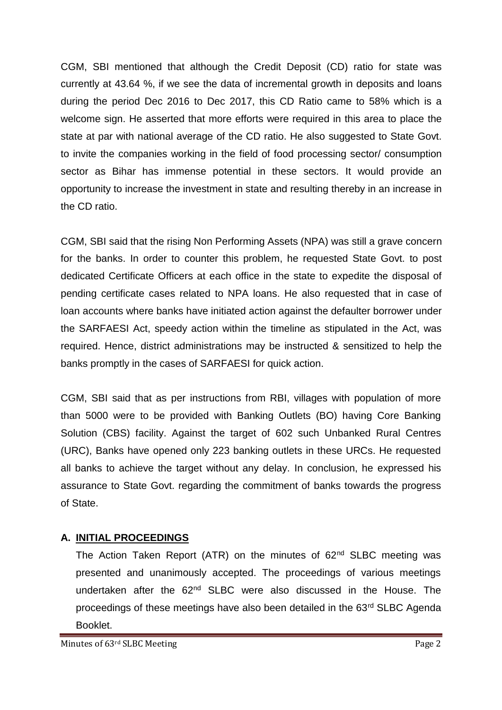CGM, SBI mentioned that although the Credit Deposit (CD) ratio for state was currently at 43.64 %, if we see the data of incremental growth in deposits and loans during the period Dec 2016 to Dec 2017, this CD Ratio came to 58% which is a welcome sign. He asserted that more efforts were required in this area to place the state at par with national average of the CD ratio. He also suggested to State Govt. to invite the companies working in the field of food processing sector/ consumption sector as Bihar has immense potential in these sectors. It would provide an opportunity to increase the investment in state and resulting thereby in an increase in the CD ratio.

CGM, SBI said that the rising Non Performing Assets (NPA) was still a grave concern for the banks. In order to counter this problem, he requested State Govt. to post dedicated Certificate Officers at each office in the state to expedite the disposal of pending certificate cases related to NPA loans. He also requested that in case of loan accounts where banks have initiated action against the defaulter borrower under the SARFAESI Act, speedy action within the timeline as stipulated in the Act, was required. Hence, district administrations may be instructed & sensitized to help the banks promptly in the cases of SARFAESI for quick action.

CGM, SBI said that as per instructions from RBI, villages with population of more than 5000 were to be provided with Banking Outlets (BO) having Core Banking Solution (CBS) facility. Against the target of 602 such Unbanked Rural Centres (URC), Banks have opened only 223 banking outlets in these URCs. He requested all banks to achieve the target without any delay. In conclusion, he expressed his assurance to State Govt. regarding the commitment of banks towards the progress of State.

# **A. INITIAL PROCEEDINGS**

The Action Taken Report (ATR) on the minutes of 62<sup>nd</sup> SLBC meeting was presented and unanimously accepted. The proceedings of various meetings undertaken after the 62<sup>nd</sup> SLBC were also discussed in the House. The proceedings of these meetings have also been detailed in the 63<sup>rd</sup> SLBC Agenda Booklet.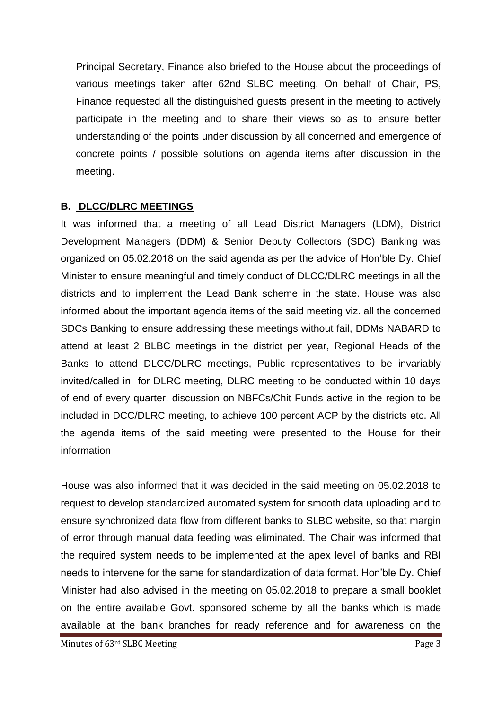Principal Secretary, Finance also briefed to the House about the proceedings of various meetings taken after 62nd SLBC meeting. On behalf of Chair, PS, Finance requested all the distinguished guests present in the meeting to actively participate in the meeting and to share their views so as to ensure better understanding of the points under discussion by all concerned and emergence of concrete points / possible solutions on agenda items after discussion in the meeting.

#### **B. DLCC/DLRC MEETINGS**

It was informed that a meeting of all Lead District Managers (LDM), District Development Managers (DDM) & Senior Deputy Collectors (SDC) Banking was organized on 05.02.2018 on the said agenda as per the advice of Hon'ble Dy. Chief Minister to ensure meaningful and timely conduct of DLCC/DLRC meetings in all the districts and to implement the Lead Bank scheme in the state. House was also informed about the important agenda items of the said meeting viz. all the concerned SDCs Banking to ensure addressing these meetings without fail, DDMs NABARD to attend at least 2 BLBC meetings in the district per year, Regional Heads of the Banks to attend DLCC/DLRC meetings, Public representatives to be invariably invited/called in for DLRC meeting, DLRC meeting to be conducted within 10 days of end of every quarter, discussion on NBFCs/Chit Funds active in the region to be included in DCC/DLRC meeting, to achieve 100 percent ACP by the districts etc. All the agenda items of the said meeting were presented to the House for their information

House was also informed that it was decided in the said meeting on 05.02.2018 to request to develop standardized automated system for smooth data uploading and to ensure synchronized data flow from different banks to SLBC website, so that margin of error through manual data feeding was eliminated. The Chair was informed that the required system needs to be implemented at the apex level of banks and RBI needs to intervene for the same for standardization of data format. Hon'ble Dy. Chief Minister had also advised in the meeting on 05.02.2018 to prepare a small booklet on the entire available Govt. sponsored scheme by all the banks which is made available at the bank branches for ready reference and for awareness on the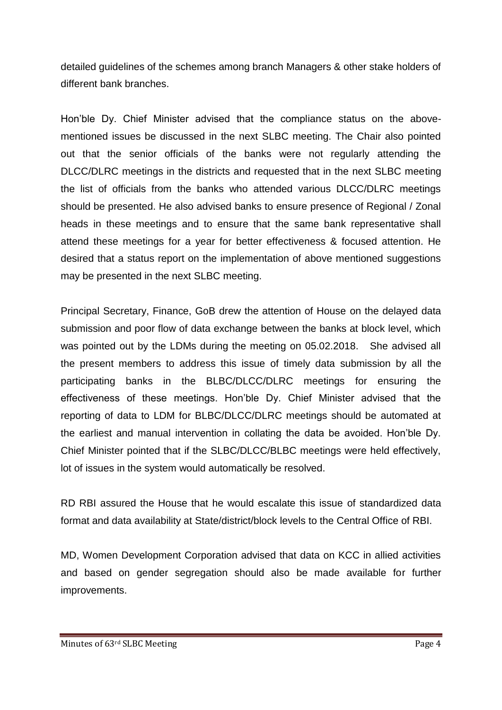detailed guidelines of the schemes among branch Managers & other stake holders of different bank branches.

Hon'ble Dy. Chief Minister advised that the compliance status on the abovementioned issues be discussed in the next SLBC meeting. The Chair also pointed out that the senior officials of the banks were not regularly attending the DLCC/DLRC meetings in the districts and requested that in the next SLBC meeting the list of officials from the banks who attended various DLCC/DLRC meetings should be presented. He also advised banks to ensure presence of Regional / Zonal heads in these meetings and to ensure that the same bank representative shall attend these meetings for a year for better effectiveness & focused attention. He desired that a status report on the implementation of above mentioned suggestions may be presented in the next SLBC meeting.

Principal Secretary, Finance, GoB drew the attention of House on the delayed data submission and poor flow of data exchange between the banks at block level, which was pointed out by the LDMs during the meeting on 05.02.2018. She advised all the present members to address this issue of timely data submission by all the participating banks in the BLBC/DLCC/DLRC meetings for ensuring the effectiveness of these meetings. Hon'ble Dy. Chief Minister advised that the reporting of data to LDM for BLBC/DLCC/DLRC meetings should be automated at the earliest and manual intervention in collating the data be avoided. Hon'ble Dy. Chief Minister pointed that if the SLBC/DLCC/BLBC meetings were held effectively, lot of issues in the system would automatically be resolved.

RD RBI assured the House that he would escalate this issue of standardized data format and data availability at State/district/block levels to the Central Office of RBI.

MD, Women Development Corporation advised that data on KCC in allied activities and based on gender segregation should also be made available for further improvements.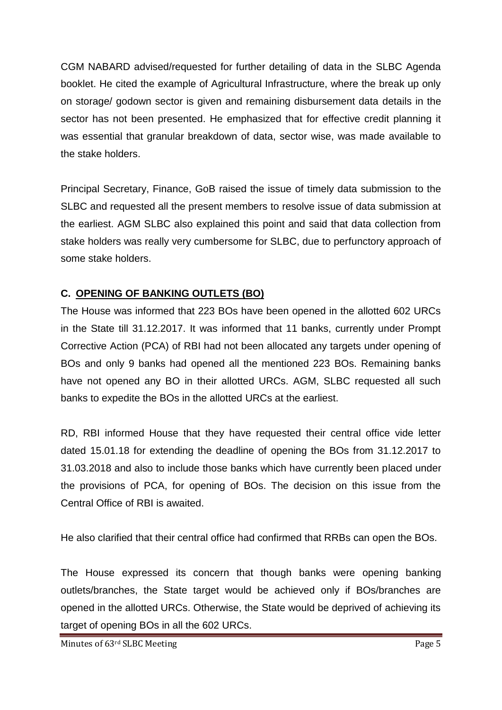CGM NABARD advised/requested for further detailing of data in the SLBC Agenda booklet. He cited the example of Agricultural Infrastructure, where the break up only on storage/ godown sector is given and remaining disbursement data details in the sector has not been presented. He emphasized that for effective credit planning it was essential that granular breakdown of data, sector wise, was made available to the stake holders.

Principal Secretary, Finance, GoB raised the issue of timely data submission to the SLBC and requested all the present members to resolve issue of data submission at the earliest. AGM SLBC also explained this point and said that data collection from stake holders was really very cumbersome for SLBC, due to perfunctory approach of some stake holders.

# **C. OPENING OF BANKING OUTLETS (BO)**

The House was informed that 223 BOs have been opened in the allotted 602 URCs in the State till 31.12.2017. It was informed that 11 banks, currently under Prompt Corrective Action (PCA) of RBI had not been allocated any targets under opening of BOs and only 9 banks had opened all the mentioned 223 BOs. Remaining banks have not opened any BO in their allotted URCs. AGM, SLBC requested all such banks to expedite the BOs in the allotted URCs at the earliest.

RD, RBI informed House that they have requested their central office vide letter dated 15.01.18 for extending the deadline of opening the BOs from 31.12.2017 to 31.03.2018 and also to include those banks which have currently been placed under the provisions of PCA, for opening of BOs. The decision on this issue from the Central Office of RBI is awaited.

He also clarified that their central office had confirmed that RRBs can open the BOs.

The House expressed its concern that though banks were opening banking outlets/branches, the State target would be achieved only if BOs/branches are opened in the allotted URCs. Otherwise, the State would be deprived of achieving its target of opening BOs in all the 602 URCs.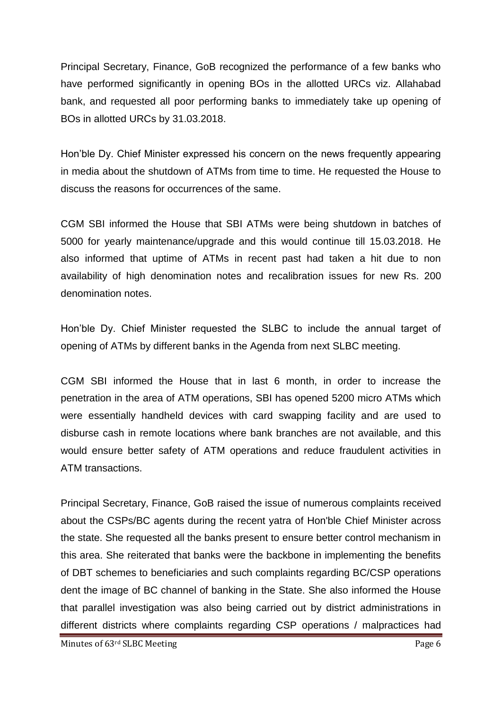Principal Secretary, Finance, GoB recognized the performance of a few banks who have performed significantly in opening BOs in the allotted URCs viz. Allahabad bank, and requested all poor performing banks to immediately take up opening of BOs in allotted URCs by 31.03.2018.

Hon'ble Dy. Chief Minister expressed his concern on the news frequently appearing in media about the shutdown of ATMs from time to time. He requested the House to discuss the reasons for occurrences of the same.

CGM SBI informed the House that SBI ATMs were being shutdown in batches of 5000 for yearly maintenance/upgrade and this would continue till 15.03.2018. He also informed that uptime of ATMs in recent past had taken a hit due to non availability of high denomination notes and recalibration issues for new Rs. 200 denomination notes.

Hon'ble Dy. Chief Minister requested the SLBC to include the annual target of opening of ATMs by different banks in the Agenda from next SLBC meeting.

CGM SBI informed the House that in last 6 month, in order to increase the penetration in the area of ATM operations, SBI has opened 5200 micro ATMs which were essentially handheld devices with card swapping facility and are used to disburse cash in remote locations where bank branches are not available, and this would ensure better safety of ATM operations and reduce fraudulent activities in ATM transactions.

Principal Secretary, Finance, GoB raised the issue of numerous complaints received about the CSPs/BC agents during the recent yatra of Hon'ble Chief Minister across the state. She requested all the banks present to ensure better control mechanism in this area. She reiterated that banks were the backbone in implementing the benefits of DBT schemes to beneficiaries and such complaints regarding BC/CSP operations dent the image of BC channel of banking in the State. She also informed the House that parallel investigation was also being carried out by district administrations in different districts where complaints regarding CSP operations / malpractices had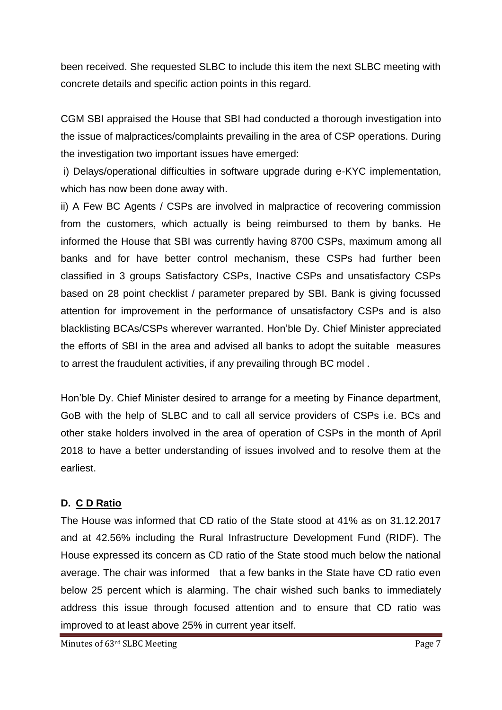been received. She requested SLBC to include this item the next SLBC meeting with concrete details and specific action points in this regard.

CGM SBI appraised the House that SBI had conducted a thorough investigation into the issue of malpractices/complaints prevailing in the area of CSP operations. During the investigation two important issues have emerged:

i) Delays/operational difficulties in software upgrade during e-KYC implementation, which has now been done away with.

ii) A Few BC Agents / CSPs are involved in malpractice of recovering commission from the customers, which actually is being reimbursed to them by banks. He informed the House that SBI was currently having 8700 CSPs, maximum among all banks and for have better control mechanism, these CSPs had further been classified in 3 groups Satisfactory CSPs, Inactive CSPs and unsatisfactory CSPs based on 28 point checklist / parameter prepared by SBI. Bank is giving focussed attention for improvement in the performance of unsatisfactory CSPs and is also blacklisting BCAs/CSPs wherever warranted. Hon'ble Dy. Chief Minister appreciated the efforts of SBI in the area and advised all banks to adopt the suitable measures to arrest the fraudulent activities, if any prevailing through BC model .

Hon'ble Dy. Chief Minister desired to arrange for a meeting by Finance department, GoB with the help of SLBC and to call all service providers of CSPs i.e. BCs and other stake holders involved in the area of operation of CSPs in the month of April 2018 to have a better understanding of issues involved and to resolve them at the earliest.

# **D. C D Ratio**

The House was informed that CD ratio of the State stood at 41% as on 31.12.2017 and at 42.56% including the Rural Infrastructure Development Fund (RIDF). The House expressed its concern as CD ratio of the State stood much below the national average. The chair was informed that a few banks in the State have CD ratio even below 25 percent which is alarming. The chair wished such banks to immediately address this issue through focused attention and to ensure that CD ratio was improved to at least above 25% in current year itself.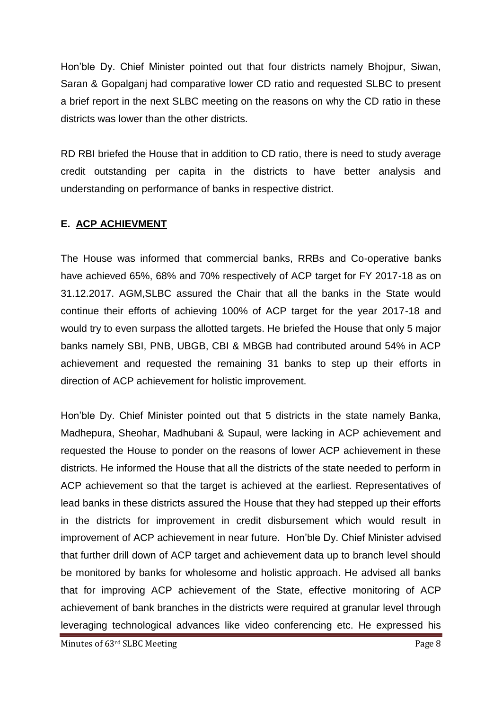Hon'ble Dy. Chief Minister pointed out that four districts namely Bhojpur, Siwan, Saran & Gopalganj had comparative lower CD ratio and requested SLBC to present a brief report in the next SLBC meeting on the reasons on why the CD ratio in these districts was lower than the other districts.

RD RBI briefed the House that in addition to CD ratio, there is need to study average credit outstanding per capita in the districts to have better analysis and understanding on performance of banks in respective district.

#### **E. ACP ACHIEVMENT**

The House was informed that commercial banks, RRBs and Co-operative banks have achieved 65%, 68% and 70% respectively of ACP target for FY 2017-18 as on 31.12.2017. AGM,SLBC assured the Chair that all the banks in the State would continue their efforts of achieving 100% of ACP target for the year 2017-18 and would try to even surpass the allotted targets. He briefed the House that only 5 major banks namely SBI, PNB, UBGB, CBI & MBGB had contributed around 54% in ACP achievement and requested the remaining 31 banks to step up their efforts in direction of ACP achievement for holistic improvement.

Hon'ble Dy. Chief Minister pointed out that 5 districts in the state namely Banka, Madhepura, Sheohar, Madhubani & Supaul, were lacking in ACP achievement and requested the House to ponder on the reasons of lower ACP achievement in these districts. He informed the House that all the districts of the state needed to perform in ACP achievement so that the target is achieved at the earliest. Representatives of lead banks in these districts assured the House that they had stepped up their efforts in the districts for improvement in credit disbursement which would result in improvement of ACP achievement in near future. Hon'ble Dy. Chief Minister advised that further drill down of ACP target and achievement data up to branch level should be monitored by banks for wholesome and holistic approach. He advised all banks that for improving ACP achievement of the State, effective monitoring of ACP achievement of bank branches in the districts were required at granular level through leveraging technological advances like video conferencing etc. He expressed his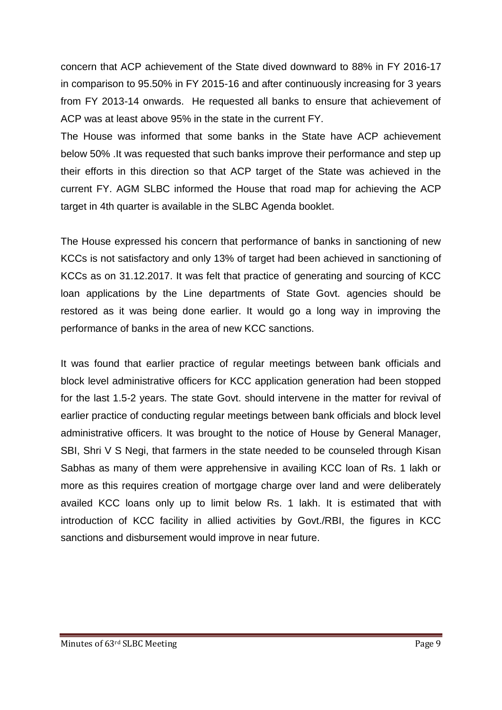concern that ACP achievement of the State dived downward to 88% in FY 2016-17 in comparison to 95.50% in FY 2015-16 and after continuously increasing for 3 years from FY 2013-14 onwards. He requested all banks to ensure that achievement of ACP was at least above 95% in the state in the current FY.

The House was informed that some banks in the State have ACP achievement below 50% .It was requested that such banks improve their performance and step up their efforts in this direction so that ACP target of the State was achieved in the current FY. AGM SLBC informed the House that road map for achieving the ACP target in 4th quarter is available in the SLBC Agenda booklet.

The House expressed his concern that performance of banks in sanctioning of new KCCs is not satisfactory and only 13% of target had been achieved in sanctioning of KCCs as on 31.12.2017. It was felt that practice of generating and sourcing of KCC loan applications by the Line departments of State Govt. agencies should be restored as it was being done earlier. It would go a long way in improving the performance of banks in the area of new KCC sanctions.

It was found that earlier practice of regular meetings between bank officials and block level administrative officers for KCC application generation had been stopped for the last 1.5-2 years. The state Govt. should intervene in the matter for revival of earlier practice of conducting regular meetings between bank officials and block level administrative officers. It was brought to the notice of House by General Manager, SBI, Shri V S Negi, that farmers in the state needed to be counseled through Kisan Sabhas as many of them were apprehensive in availing KCC loan of Rs. 1 lakh or more as this requires creation of mortgage charge over land and were deliberately availed KCC loans only up to limit below Rs. 1 lakh. It is estimated that with introduction of KCC facility in allied activities by Govt./RBI, the figures in KCC sanctions and disbursement would improve in near future.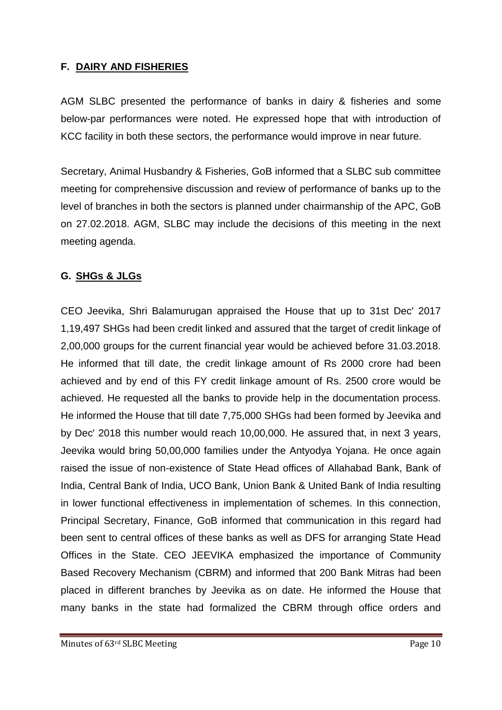#### **F. DAIRY AND FISHERIES**

AGM SLBC presented the performance of banks in dairy & fisheries and some below-par performances were noted. He expressed hope that with introduction of KCC facility in both these sectors, the performance would improve in near future.

Secretary, Animal Husbandry & Fisheries, GoB informed that a SLBC sub committee meeting for comprehensive discussion and review of performance of banks up to the level of branches in both the sectors is planned under chairmanship of the APC, GoB on 27.02.2018. AGM, SLBC may include the decisions of this meeting in the next meeting agenda.

#### **G. SHGs & JLGs**

CEO Jeevika, Shri Balamurugan appraised the House that up to 31st Dec' 2017 1,19,497 SHGs had been credit linked and assured that the target of credit linkage of 2,00,000 groups for the current financial year would be achieved before 31.03.2018. He informed that till date, the credit linkage amount of Rs 2000 crore had been achieved and by end of this FY credit linkage amount of Rs. 2500 crore would be achieved. He requested all the banks to provide help in the documentation process. He informed the House that till date 7,75,000 SHGs had been formed by Jeevika and by Dec' 2018 this number would reach 10,00,000. He assured that, in next 3 years, Jeevika would bring 50,00,000 families under the Antyodya Yojana. He once again raised the issue of non-existence of State Head offices of Allahabad Bank, Bank of India, Central Bank of India, UCO Bank, Union Bank & United Bank of India resulting in lower functional effectiveness in implementation of schemes. In this connection, Principal Secretary, Finance, GoB informed that communication in this regard had been sent to central offices of these banks as well as DFS for arranging State Head Offices in the State. CEO JEEVIKA emphasized the importance of Community Based Recovery Mechanism (CBRM) and informed that 200 Bank Mitras had been placed in different branches by Jeevika as on date. He informed the House that many banks in the state had formalized the CBRM through office orders and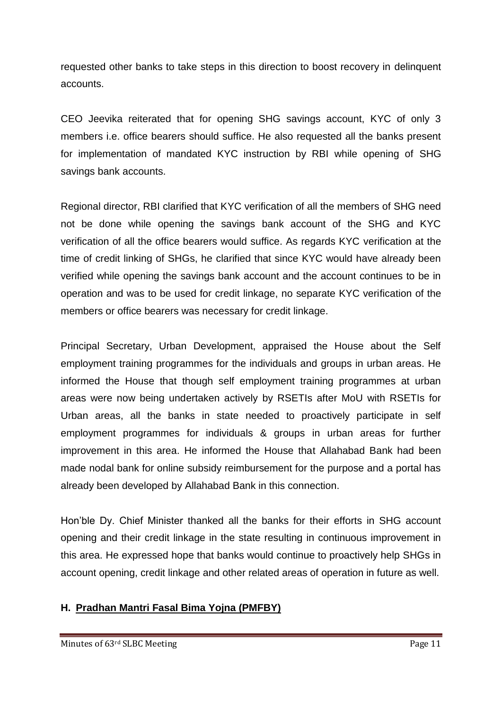requested other banks to take steps in this direction to boost recovery in delinquent accounts.

CEO Jeevika reiterated that for opening SHG savings account, KYC of only 3 members i.e. office bearers should suffice. He also requested all the banks present for implementation of mandated KYC instruction by RBI while opening of SHG savings bank accounts.

Regional director, RBI clarified that KYC verification of all the members of SHG need not be done while opening the savings bank account of the SHG and KYC verification of all the office bearers would suffice. As regards KYC verification at the time of credit linking of SHGs, he clarified that since KYC would have already been verified while opening the savings bank account and the account continues to be in operation and was to be used for credit linkage, no separate KYC verification of the members or office bearers was necessary for credit linkage.

Principal Secretary, Urban Development, appraised the House about the Self employment training programmes for the individuals and groups in urban areas. He informed the House that though self employment training programmes at urban areas were now being undertaken actively by RSETIs after MoU with RSETIs for Urban areas, all the banks in state needed to proactively participate in self employment programmes for individuals & groups in urban areas for further improvement in this area. He informed the House that Allahabad Bank had been made nodal bank for online subsidy reimbursement for the purpose and a portal has already been developed by Allahabad Bank in this connection.

Hon'ble Dy. Chief Minister thanked all the banks for their efforts in SHG account opening and their credit linkage in the state resulting in continuous improvement in this area. He expressed hope that banks would continue to proactively help SHGs in account opening, credit linkage and other related areas of operation in future as well.

# **H. Pradhan Mantri Fasal Bima Yojna (PMFBY)**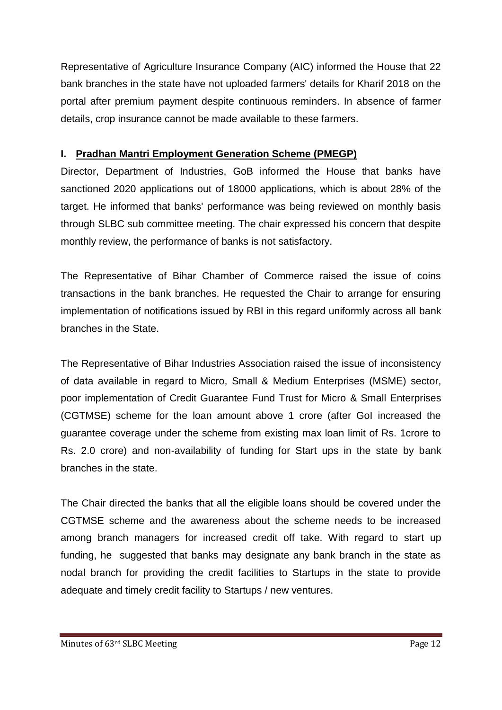Representative of Agriculture Insurance Company (AIC) informed the House that 22 bank branches in the state have not uploaded farmers' details for Kharif 2018 on the portal after premium payment despite continuous reminders. In absence of farmer details, crop insurance cannot be made available to these farmers.

#### **I. Pradhan Mantri Employment Generation Scheme (PMEGP)**

Director, Department of Industries, GoB informed the House that banks have sanctioned 2020 applications out of 18000 applications, which is about 28% of the target. He informed that banks' performance was being reviewed on monthly basis through SLBC sub committee meeting. The chair expressed his concern that despite monthly review, the performance of banks is not satisfactory.

The Representative of Bihar Chamber of Commerce raised the issue of coins transactions in the bank branches. He requested the Chair to arrange for ensuring implementation of notifications issued by RBI in this regard uniformly across all bank branches in the State.

The Representative of Bihar Industries Association raised the issue of inconsistency of data available in regard to Micro, Small & Medium Enterprises (MSME) sector, poor implementation of Credit Guarantee Fund Trust for Micro & Small Enterprises (CGTMSE) scheme for the loan amount above 1 crore (after GoI increased the guarantee coverage under the scheme from existing max loan limit of Rs. 1crore to Rs. 2.0 crore) and non-availability of funding for Start ups in the state by bank branches in the state.

The Chair directed the banks that all the eligible loans should be covered under the CGTMSE scheme and the awareness about the scheme needs to be increased among branch managers for increased credit off take. With regard to start up funding, he suggested that banks may designate any bank branch in the state as nodal branch for providing the credit facilities to Startups in the state to provide adequate and timely credit facility to Startups / new ventures.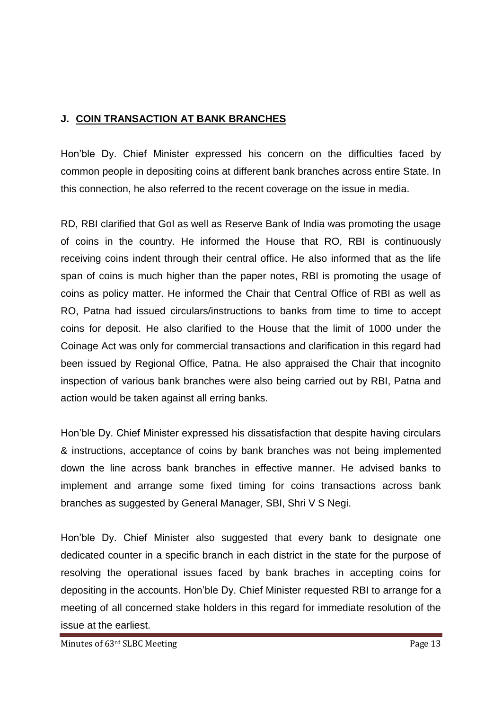# **J. COIN TRANSACTION AT BANK BRANCHES**

Hon'ble Dy. Chief Minister expressed his concern on the difficulties faced by common people in depositing coins at different bank branches across entire State. In this connection, he also referred to the recent coverage on the issue in media.

RD, RBI clarified that GoI as well as Reserve Bank of India was promoting the usage of coins in the country. He informed the House that RO, RBI is continuously receiving coins indent through their central office. He also informed that as the life span of coins is much higher than the paper notes, RBI is promoting the usage of coins as policy matter. He informed the Chair that Central Office of RBI as well as RO, Patna had issued circulars/instructions to banks from time to time to accept coins for deposit. He also clarified to the House that the limit of 1000 under the Coinage Act was only for commercial transactions and clarification in this regard had been issued by Regional Office, Patna. He also appraised the Chair that incognito inspection of various bank branches were also being carried out by RBI, Patna and action would be taken against all erring banks.

Hon'ble Dy. Chief Minister expressed his dissatisfaction that despite having circulars & instructions, acceptance of coins by bank branches was not being implemented down the line across bank branches in effective manner. He advised banks to implement and arrange some fixed timing for coins transactions across bank branches as suggested by General Manager, SBI, Shri V S Negi.

Hon'ble Dy. Chief Minister also suggested that every bank to designate one dedicated counter in a specific branch in each district in the state for the purpose of resolving the operational issues faced by bank braches in accepting coins for depositing in the accounts. Hon'ble Dy. Chief Minister requested RBI to arrange for a meeting of all concerned stake holders in this regard for immediate resolution of the issue at the earliest.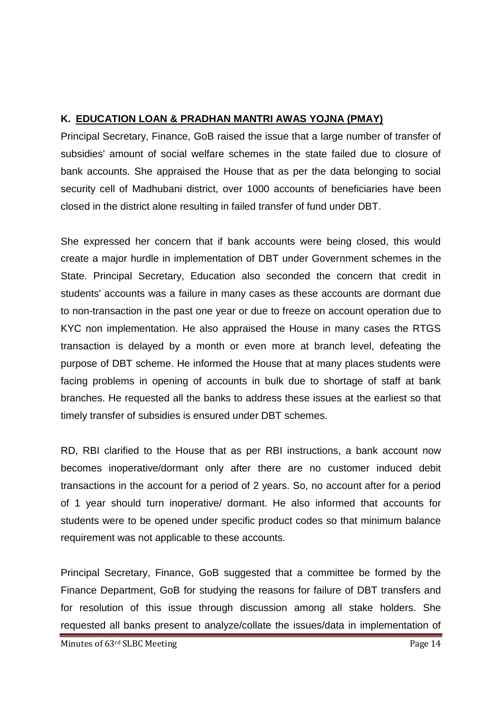# **K. EDUCATION LOAN & PRADHAN MANTRI AWAS YOJNA (PMAY)**

Principal Secretary, Finance, GoB raised the issue that a large number of transfer of subsidies' amount of social welfare schemes in the state failed due to closure of bank accounts. She appraised the House that as per the data belonging to social security cell of Madhubani district, over 1000 accounts of beneficiaries have been closed in the district alone resulting in failed transfer of fund under DBT.

She expressed her concern that if bank accounts were being closed, this would create a major hurdle in implementation of DBT under Government schemes in the State. Principal Secretary, Education also seconded the concern that credit in students' accounts was a failure in many cases as these accounts are dormant due to non-transaction in the past one year or due to freeze on account operation due to KYC non implementation. He also appraised the House in many cases the RTGS transaction is delayed by a month or even more at branch level, defeating the purpose of DBT scheme. He informed the House that at many places students were facing problems in opening of accounts in bulk due to shortage of staff at bank branches. He requested all the banks to address these issues at the earliest so that timely transfer of subsidies is ensured under DBT schemes.

RD, RBI clarified to the House that as per RBI instructions, a bank account now becomes inoperative/dormant only after there are no customer induced debit transactions in the account for a period of 2 years. So, no account after for a period of 1 year should turn inoperative/ dormant. He also informed that accounts for students were to be opened under specific product codes so that minimum balance requirement was not applicable to these accounts.

Principal Secretary, Finance, GoB suggested that a committee be formed by the Finance Department, GoB for studying the reasons for failure of DBT transfers and for resolution of this issue through discussion among all stake holders. She requested all banks present to analyze/collate the issues/data in implementation of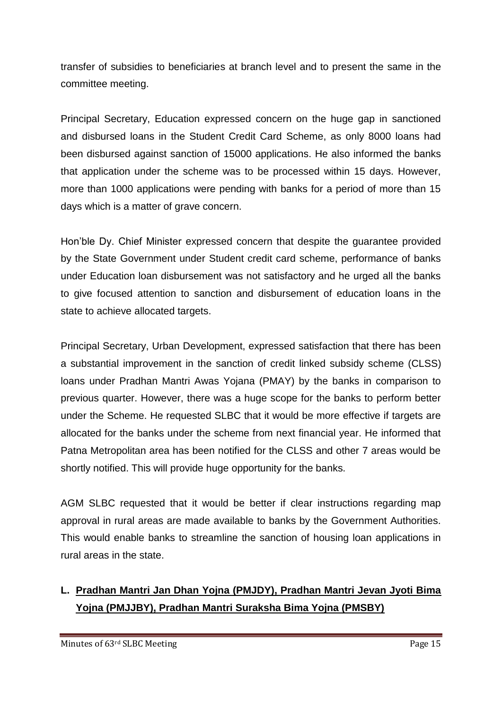transfer of subsidies to beneficiaries at branch level and to present the same in the committee meeting.

Principal Secretary, Education expressed concern on the huge gap in sanctioned and disbursed loans in the Student Credit Card Scheme, as only 8000 loans had been disbursed against sanction of 15000 applications. He also informed the banks that application under the scheme was to be processed within 15 days. However, more than 1000 applications were pending with banks for a period of more than 15 days which is a matter of grave concern.

Hon'ble Dy. Chief Minister expressed concern that despite the guarantee provided by the State Government under Student credit card scheme, performance of banks under Education loan disbursement was not satisfactory and he urged all the banks to give focused attention to sanction and disbursement of education loans in the state to achieve allocated targets.

Principal Secretary, Urban Development, expressed satisfaction that there has been a substantial improvement in the sanction of credit linked subsidy scheme (CLSS) loans under Pradhan Mantri Awas Yojana (PMAY) by the banks in comparison to previous quarter. However, there was a huge scope for the banks to perform better under the Scheme. He requested SLBC that it would be more effective if targets are allocated for the banks under the scheme from next financial year. He informed that Patna Metropolitan area has been notified for the CLSS and other 7 areas would be shortly notified. This will provide huge opportunity for the banks.

AGM SLBC requested that it would be better if clear instructions regarding map approval in rural areas are made available to banks by the Government Authorities. This would enable banks to streamline the sanction of housing loan applications in rural areas in the state.

# **L. Pradhan Mantri Jan Dhan Yojna (PMJDY), Pradhan Mantri Jevan Jyoti Bima Yojna (PMJJBY), Pradhan Mantri Suraksha Bima Yojna (PMSBY)**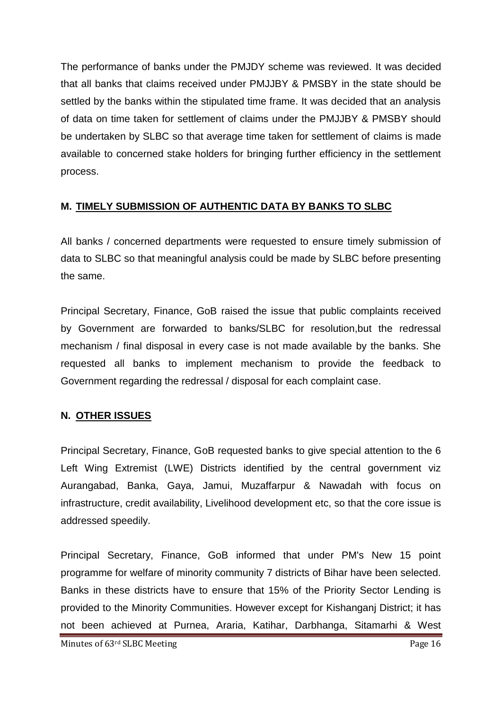The performance of banks under the PMJDY scheme was reviewed. It was decided that all banks that claims received under PMJJBY & PMSBY in the state should be settled by the banks within the stipulated time frame. It was decided that an analysis of data on time taken for settlement of claims under the PMJJBY & PMSBY should be undertaken by SLBC so that average time taken for settlement of claims is made available to concerned stake holders for bringing further efficiency in the settlement process.

#### **M. TIMELY SUBMISSION OF AUTHENTIC DATA BY BANKS TO SLBC**

All banks / concerned departments were requested to ensure timely submission of data to SLBC so that meaningful analysis could be made by SLBC before presenting the same.

Principal Secretary, Finance, GoB raised the issue that public complaints received by Government are forwarded to banks/SLBC for resolution,but the redressal mechanism / final disposal in every case is not made available by the banks. She requested all banks to implement mechanism to provide the feedback to Government regarding the redressal / disposal for each complaint case.

# **N. OTHER ISSUES**

Principal Secretary, Finance, GoB requested banks to give special attention to the 6 Left Wing Extremist (LWE) Districts identified by the central government viz Aurangabad, Banka, Gaya, Jamui, Muzaffarpur & Nawadah with focus on infrastructure, credit availability, Livelihood development etc, so that the core issue is addressed speedily.

Principal Secretary, Finance, GoB informed that under PM's New 15 point programme for welfare of minority community 7 districts of Bihar have been selected. Banks in these districts have to ensure that 15% of the Priority Sector Lending is provided to the Minority Communities. However except for Kishanganj District; it has not been achieved at Purnea, Araria, Katihar, Darbhanga, Sitamarhi & West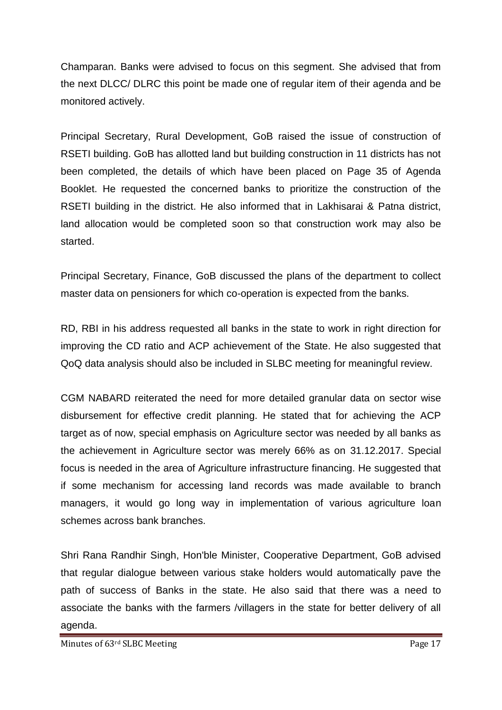Champaran. Banks were advised to focus on this segment. She advised that from the next DLCC/ DLRC this point be made one of regular item of their agenda and be monitored actively.

Principal Secretary, Rural Development, GoB raised the issue of construction of RSETI building. GoB has allotted land but building construction in 11 districts has not been completed, the details of which have been placed on Page 35 of Agenda Booklet. He requested the concerned banks to prioritize the construction of the RSETI building in the district. He also informed that in Lakhisarai & Patna district, land allocation would be completed soon so that construction work may also be started.

Principal Secretary, Finance, GoB discussed the plans of the department to collect master data on pensioners for which co-operation is expected from the banks.

RD, RBI in his address requested all banks in the state to work in right direction for improving the CD ratio and ACP achievement of the State. He also suggested that QoQ data analysis should also be included in SLBC meeting for meaningful review.

CGM NABARD reiterated the need for more detailed granular data on sector wise disbursement for effective credit planning. He stated that for achieving the ACP target as of now, special emphasis on Agriculture sector was needed by all banks as the achievement in Agriculture sector was merely 66% as on 31.12.2017. Special focus is needed in the area of Agriculture infrastructure financing. He suggested that if some mechanism for accessing land records was made available to branch managers, it would go long way in implementation of various agriculture loan schemes across bank branches.

Shri Rana Randhir Singh, Hon'ble Minister, Cooperative Department, GoB advised that regular dialogue between various stake holders would automatically pave the path of success of Banks in the state. He also said that there was a need to associate the banks with the farmers /villagers in the state for better delivery of all agenda.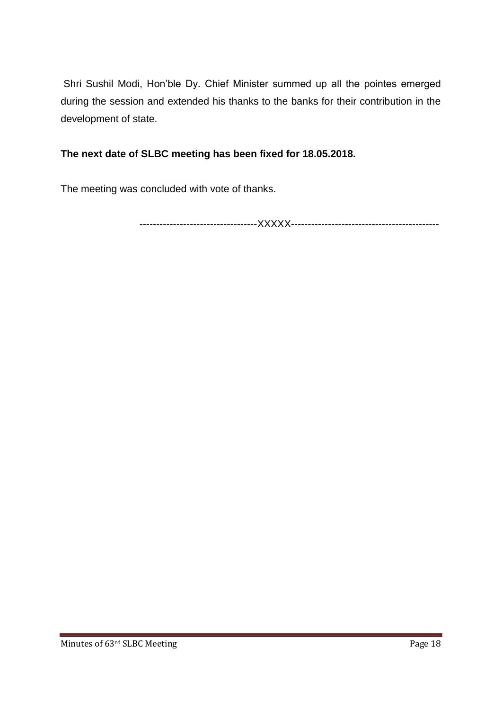Shri Sushil Modi, Hon'ble Dy. Chief Minister summed up all the pointes emerged during the session and extended his thanks to the banks for their contribution in the development of state.

# **The next date of SLBC meeting has been fixed for 18.05.2018.**

The meeting was concluded with vote of thanks.

-----------------------------------XXXXX--------------------------------------------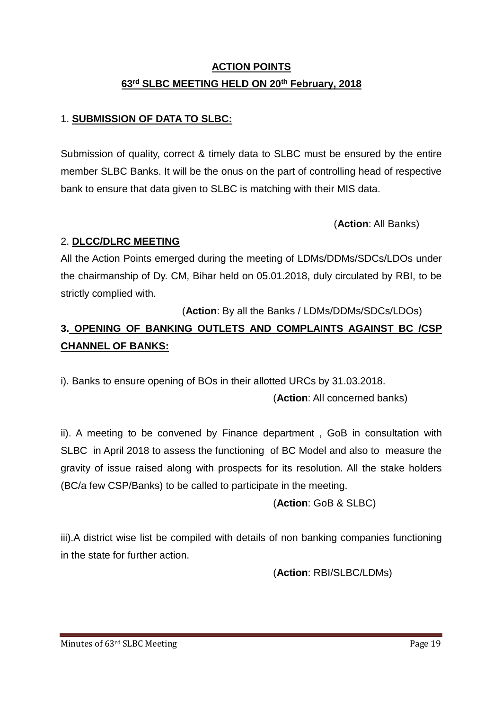# **ACTION POINTS 63rd SLBC MEETING HELD ON 20th February, 2018**

# 1. **SUBMISSION OF DATA TO SLBC:**

Submission of quality, correct & timely data to SLBC must be ensured by the entire member SLBC Banks. It will be the onus on the part of controlling head of respective bank to ensure that data given to SLBC is matching with their MIS data.

(**Action**: All Banks)

# 2. **DLCC/DLRC MEETING**

All the Action Points emerged during the meeting of LDMs/DDMs/SDCs/LDOs under the chairmanship of Dy. CM, Bihar held on 05.01.2018, duly circulated by RBI, to be strictly complied with.

(**Action**: By all the Banks / LDMs/DDMs/SDCs/LDOs)

# **3. OPENING OF BANKING OUTLETS AND COMPLAINTS AGAINST BC /CSP CHANNEL OF BANKS:**

i). Banks to ensure opening of BOs in their allotted URCs by 31.03.2018.

(**Action**: All concerned banks)

ii). A meeting to be convened by Finance department , GoB in consultation with SLBC in April 2018 to assess the functioning of BC Model and also to measure the gravity of issue raised along with prospects for its resolution. All the stake holders (BC/a few CSP/Banks) to be called to participate in the meeting.

(**Action**: GoB & SLBC)

iii).A district wise list be compiled with details of non banking companies functioning in the state for further action.

(**Action**: RBI/SLBC/LDMs)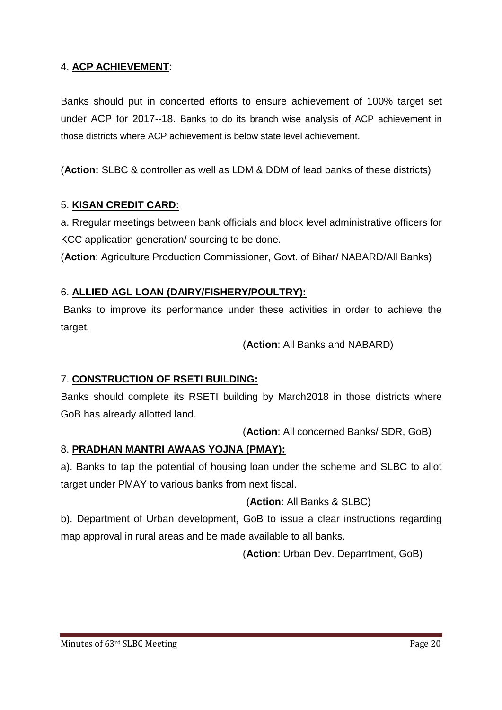# 4. **ACP ACHIEVEMENT**:

Banks should put in concerted efforts to ensure achievement of 100% target set under ACP for 2017--18. Banks to do its branch wise analysis of ACP achievement in those districts where ACP achievement is below state level achievement.

(**Action:** SLBC & controller as well as LDM & DDM of lead banks of these districts)

#### 5. **KISAN CREDIT CARD:**

a. Rregular meetings between bank officials and block level administrative officers for KCC application generation/ sourcing to be done.

(**Action**: Agriculture Production Commissioner, Govt. of Bihar/ NABARD/All Banks)

#### 6. **ALLIED AGL LOAN (DAIRY/FISHERY/POULTRY):**

Banks to improve its performance under these activities in order to achieve the target.

(**Action**: All Banks and NABARD)

#### 7. **CONSTRUCTION OF RSETI BUILDING:**

Banks should complete its RSETI building by March2018 in those districts where GoB has already allotted land.

(**Action**: All concerned Banks/ SDR, GoB)

#### 8. **PRADHAN MANTRI AWAAS YOJNA (PMAY):**

a). Banks to tap the potential of housing loan under the scheme and SLBC to allot target under PMAY to various banks from next fiscal.

(**Action**: All Banks & SLBC)

b). Department of Urban development, GoB to issue a clear instructions regarding map approval in rural areas and be made available to all banks.

(**Action**: Urban Dev. Deparrtment, GoB)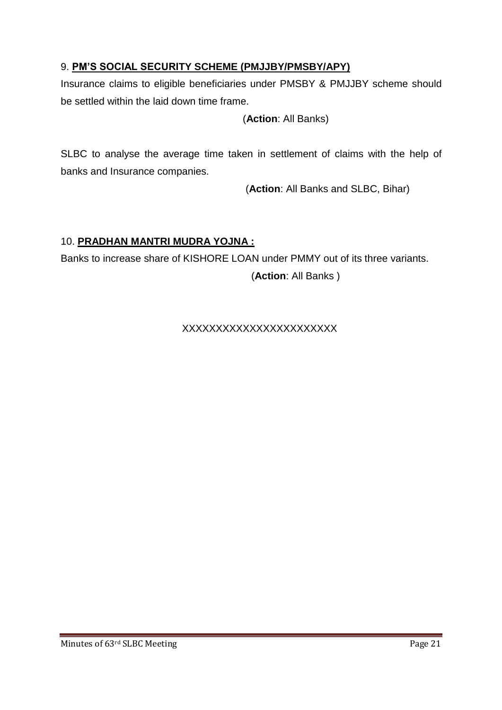# 9. **PM'S SOCIAL SECURITY SCHEME (PMJJBY/PMSBY/APY)**

Insurance claims to eligible beneficiaries under PMSBY & PMJJBY scheme should be settled within the laid down time frame.

#### (**Action**: All Banks)

SLBC to analyse the average time taken in settlement of claims with the help of banks and Insurance companies.

(**Action**: All Banks and SLBC, Bihar)

# 10. **PRADHAN MANTRI MUDRA YOJNA :**

Banks to increase share of KISHORE LOAN under PMMY out of its three variants. (**Action**: All Banks )

#### XXXXXXXXXXXXXXXXXXXXXXX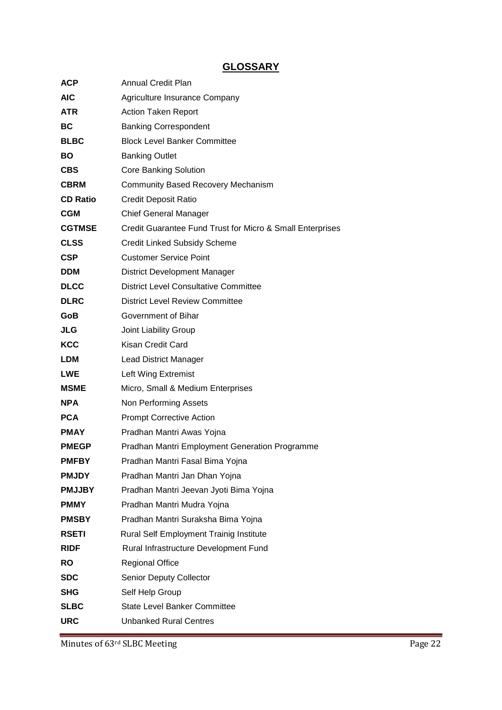# **GLOSSARY**

| ACP             | <b>Annual Credit Plan</b>                                 |  |
|-----------------|-----------------------------------------------------------|--|
| <b>AIC</b>      | Agriculture Insurance Company                             |  |
| <b>ATR</b>      | <b>Action Taken Report</b>                                |  |
| <b>BC</b>       | <b>Banking Correspondent</b>                              |  |
| <b>BLBC</b>     | <b>Block Level Banker Committee</b>                       |  |
| <b>BO</b>       | <b>Banking Outlet</b>                                     |  |
| <b>CBS</b>      | <b>Core Banking Solution</b>                              |  |
| <b>CBRM</b>     | <b>Community Based Recovery Mechanism</b>                 |  |
| <b>CD Ratio</b> | <b>Credit Deposit Ratio</b>                               |  |
| <b>CGM</b>      | <b>Chief General Manager</b>                              |  |
| <b>CGTMSE</b>   | Credit Guarantee Fund Trust for Micro & Small Enterprises |  |
| <b>CLSS</b>     | <b>Credit Linked Subsidy Scheme</b>                       |  |
| <b>CSP</b>      | <b>Customer Service Point</b>                             |  |
| <b>DDM</b>      | <b>District Development Manager</b>                       |  |
| <b>DLCC</b>     | <b>District Level Consultative Committee</b>              |  |
| <b>DLRC</b>     | <b>District Level Review Committee</b>                    |  |
| GoB             | Government of Bihar                                       |  |
| <b>JLG</b>      | Joint Liability Group                                     |  |
| <b>KCC</b>      | Kisan Credit Card                                         |  |
| <b>LDM</b>      | Lead District Manager                                     |  |
| <b>LWE</b>      | Left Wing Extremist                                       |  |
| <b>MSME</b>     | Micro, Small & Medium Enterprises                         |  |
| <b>NPA</b>      | Non Performing Assets                                     |  |
| <b>PCA</b>      | <b>Prompt Corrective Action</b>                           |  |
| <b>PMAY</b>     | Pradhan Mantri Awas Yojna                                 |  |
| <b>PMEGP</b>    | Pradhan Mantri Employment Generation Programme            |  |
| <b>PMFBY</b>    | Pradhan Mantri Fasal Bima Yojna                           |  |
| <b>PMJDY</b>    | Pradhan Mantri Jan Dhan Yojna                             |  |
| <b>PMJJBY</b>   | Pradhan Mantri Jeevan Jyoti Bima Yojna                    |  |
| <b>PMMY</b>     | Pradhan Mantri Mudra Yojna                                |  |
| <b>PMSBY</b>    | Pradhan Mantri Suraksha Bima Yojna                        |  |
| <b>RSETI</b>    | Rural Self Employment Trainig Institute                   |  |
| <b>RIDF</b>     | Rural Infrastructure Development Fund                     |  |
| <b>RO</b>       | <b>Regional Office</b>                                    |  |
| <b>SDC</b>      | Senior Deputy Collector                                   |  |
| <b>SHG</b>      | Self Help Group                                           |  |
| <b>SLBC</b>     | <b>State Level Banker Committee</b>                       |  |
| <b>URC</b>      | <b>Unbanked Rural Centres</b>                             |  |

Minutes of 63<sup>rd</sup> SLBC Meeting Page 22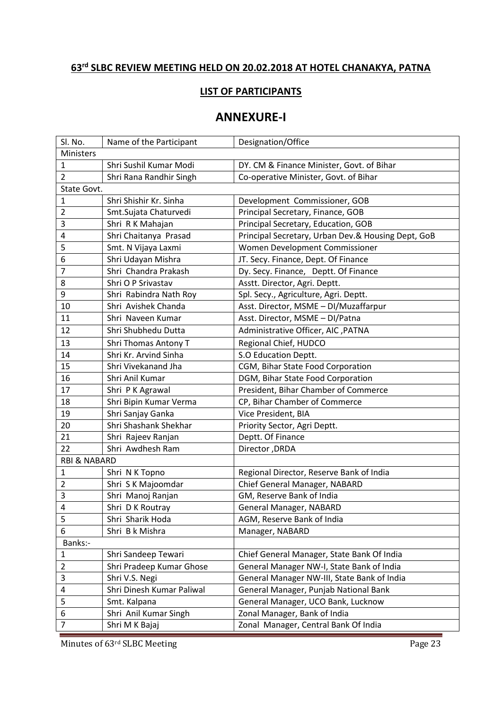# **rd SLBC REVIEW MEETING HELD ON 20.02.2018 AT HOTEL CHANAKYA, PATNA**

#### **LIST OF PARTICIPANTS**

# **ANNEXURE-I**

| Sl. No.                 | Name of the Participant     | Designation/Office                                 |  |  |
|-------------------------|-----------------------------|----------------------------------------------------|--|--|
| Ministers               |                             |                                                    |  |  |
| $\mathbf{1}$            | Shri Sushil Kumar Modi      | DY. CM & Finance Minister, Govt. of Bihar          |  |  |
| $\overline{2}$          | Shri Rana Randhir Singh     | Co-operative Minister, Govt. of Bihar              |  |  |
| State Govt.             |                             |                                                    |  |  |
| $\mathbf 1$             | Shri Shishir Kr. Sinha      | Development Commissioner, GOB                      |  |  |
| $\overline{2}$          | Smt.Sujata Chaturvedi       | Principal Secretary, Finance, GOB                  |  |  |
| 3                       | Shri R K Mahajan            | Principal Secretary, Education, GOB                |  |  |
| $\overline{4}$          | Shri Chaitanya Prasad       | Principal Secretary, Urban Dev.& Housing Dept, GoB |  |  |
| 5                       | Smt. N Vijaya Laxmi         | Women Development Commissioner                     |  |  |
| 6                       | Shri Udayan Mishra          | JT. Secy. Finance, Dept. Of Finance                |  |  |
| $\overline{7}$          | Shri Chandra Prakash        | Dy. Secy. Finance, Deptt. Of Finance               |  |  |
| 8                       | Shri O P Srivastav          | Asstt. Director, Agri. Deptt.                      |  |  |
| 9                       | Shri Rabindra Nath Roy      | Spl. Secy., Agriculture, Agri. Deptt.              |  |  |
| 10                      | Shri Avishek Chanda         | Asst. Director, MSME - DI/Muzaffarpur              |  |  |
| 11                      | Shri Naveen Kumar           | Asst. Director, MSME - DI/Patna                    |  |  |
| 12                      | Shri Shubhedu Dutta         | Administrative Officer, AIC , PATNA                |  |  |
| 13                      | <b>Shri Thomas Antony T</b> | Regional Chief, HUDCO                              |  |  |
| 14                      | Shri Kr. Arvind Sinha       | S.O Education Deptt.                               |  |  |
| 15                      | Shri Vivekanand Jha         | CGM, Bihar State Food Corporation                  |  |  |
| 16                      | Shri Anil Kumar             | DGM, Bihar State Food Corporation                  |  |  |
| 17                      | Shri P K Agrawal            | President, Bihar Chamber of Commerce               |  |  |
| 18                      | Shri Bipin Kumar Verma      | CP, Bihar Chamber of Commerce                      |  |  |
| 19                      | Shri Sanjay Ganka           | Vice President, BIA                                |  |  |
| 20                      | Shri Shashank Shekhar       | Priority Sector, Agri Deptt.                       |  |  |
| 21                      | Shri Rajeev Ranjan          | Deptt. Of Finance                                  |  |  |
| 22                      | Shri Awdhesh Ram            | Director, DRDA                                     |  |  |
| <b>RBI &amp; NABARD</b> |                             |                                                    |  |  |
| 1                       | Shri N K Topno              | Regional Director, Reserve Bank of India           |  |  |
| $\overline{2}$          | Shri S K Majoomdar          | Chief General Manager, NABARD                      |  |  |
| 3                       | Shri Manoj Ranjan           | GM, Reserve Bank of India                          |  |  |
| 4                       | Shri D K Routray            | General Manager, NABARD                            |  |  |
| 5                       | Shri Sharik Hoda            | AGM, Reserve Bank of India                         |  |  |
| 6                       | Shri B k Mishra             | Manager, NABARD                                    |  |  |
| Banks:-                 |                             |                                                    |  |  |
| $\mathbf{1}$            | Shri Sandeep Tewari         | Chief General Manager, State Bank Of India         |  |  |
| $\overline{2}$          | Shri Pradeep Kumar Ghose    | General Manager NW-I, State Bank of India          |  |  |
| 3                       | Shri V.S. Negi              | General Manager NW-III, State Bank of India        |  |  |
| 4                       | Shri Dinesh Kumar Paliwal   | General Manager, Punjab National Bank              |  |  |
| 5                       | Smt. Kalpana                | General Manager, UCO Bank, Lucknow                 |  |  |
| 6                       | Shri Anil Kumar Singh       | Zonal Manager, Bank of India                       |  |  |
| $\overline{7}$          | Shri M K Bajaj              | Zonal Manager, Central Bank Of India               |  |  |
|                         |                             |                                                    |  |  |

Minutes of 63<sup>rd</sup> SLBC Meeting Page 23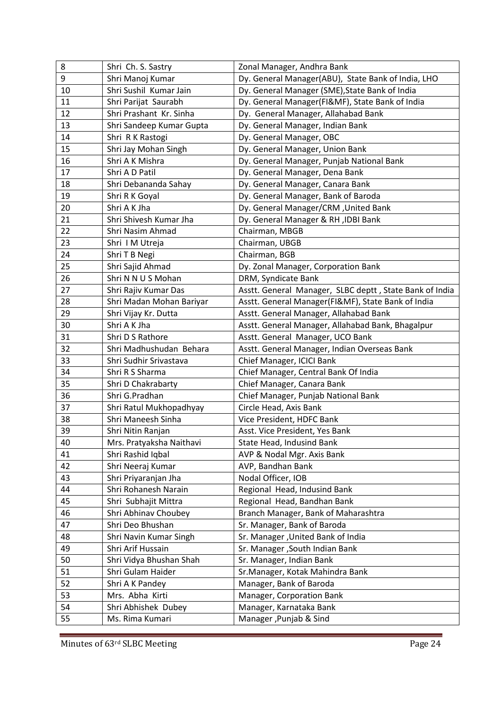| 8  | Shri Ch. S. Sastry       | Zonal Manager, Andhra Bank                              |
|----|--------------------------|---------------------------------------------------------|
| 9  | Shri Manoj Kumar         | Dy. General Manager(ABU), State Bank of India, LHO      |
| 10 | Shri Sushil Kumar Jain   | Dy. General Manager (SME), State Bank of India          |
| 11 | Shri Parijat Saurabh     | Dy. General Manager(FI&MF), State Bank of India         |
| 12 | Shri Prashant Kr. Sinha  | Dy. General Manager, Allahabad Bank                     |
| 13 | Shri Sandeep Kumar Gupta | Dy. General Manager, Indian Bank                        |
| 14 | Shri R K Rastogi         | Dy. General Manager, OBC                                |
| 15 | Shri Jay Mohan Singh     | Dy. General Manager, Union Bank                         |
| 16 | Shri A K Mishra          | Dy. General Manager, Punjab National Bank               |
| 17 | Shri A D Patil           | Dy. General Manager, Dena Bank                          |
| 18 | Shri Debananda Sahay     | Dy. General Manager, Canara Bank                        |
| 19 | Shri R K Goyal           | Dy. General Manager, Bank of Baroda                     |
| 20 | Shri A K Jha             | Dy. General Manager/CRM, United Bank                    |
| 21 | Shri Shivesh Kumar Jha   | Dy. General Manager & RH , IDBI Bank                    |
| 22 | Shri Nasim Ahmad         | Chairman, MBGB                                          |
| 23 | Shri IM Utreja           | Chairman, UBGB                                          |
| 24 | Shri T B Negi            | Chairman, BGB                                           |
| 25 | Shri Sajid Ahmad         | Dy. Zonal Manager, Corporation Bank                     |
| 26 | Shri N N U S Mohan       | DRM, Syndicate Bank                                     |
| 27 | Shri Rajiv Kumar Das     | Asstt. General Manager, SLBC deptt, State Bank of India |
| 28 | Shri Madan Mohan Bariyar | Asstt. General Manager(FI&MF), State Bank of India      |
| 29 | Shri Vijay Kr. Dutta     | Asstt. General Manager, Allahabad Bank                  |
| 30 | Shri A K Jha             | Asstt. General Manager, Allahabad Bank, Bhagalpur       |
| 31 | Shri D S Rathore         | Asstt. General Manager, UCO Bank                        |
| 32 | Shri Madhushudan Behara  | Asstt. General Manager, Indian Overseas Bank            |
| 33 | Shri Sudhir Srivastava   | Chief Manager, ICICI Bank                               |
| 34 | Shri R S Sharma          | Chief Manager, Central Bank Of India                    |
| 35 | Shri D Chakrabarty       | Chief Manager, Canara Bank                              |
| 36 | Shri G.Pradhan           | Chief Manager, Punjab National Bank                     |
| 37 | Shri Ratul Mukhopadhyay  | Circle Head, Axis Bank                                  |
| 38 | Shri Maneesh Sinha       | Vice President, HDFC Bank                               |
| 39 | Shri Nitin Ranjan        | Asst. Vice President, Yes Bank                          |
| 40 | Mrs. Pratyaksha Naithavi | State Head, Indusind Bank                               |
| 41 | Shri Rashid Iqbal        | AVP & Nodal Mgr. Axis Bank                              |
| 42 | Shri Neeraj Kumar        | AVP, Bandhan Bank                                       |
| 43 | Shri Priyaranjan Jha     | Nodal Officer, IOB                                      |
| 44 | Shri Rohanesh Narain     | Regional Head, Indusind Bank                            |
| 45 | Shri Subhajit Mittra     | Regional Head, Bandhan Bank                             |
| 46 | Shri Abhinav Choubey     | Branch Manager, Bank of Maharashtra                     |
| 47 | Shri Deo Bhushan         | Sr. Manager, Bank of Baroda                             |
| 48 | Shri Navin Kumar Singh   | Sr. Manager , United Bank of India                      |
| 49 | Shri Arif Hussain        | Sr. Manager , South Indian Bank                         |
| 50 | Shri Vidya Bhushan Shah  | Sr. Manager, Indian Bank                                |
| 51 | Shri Gulam Haider        | Sr. Manager, Kotak Mahindra Bank                        |
| 52 | Shri A K Pandey          | Manager, Bank of Baroda                                 |
| 53 | Mrs. Abha Kirti          | Manager, Corporation Bank                               |
| 54 | Shri Abhishek Dubey      | Manager, Karnataka Bank                                 |
| 55 | Ms. Rima Kumari          | Manager, Punjab & Sind                                  |